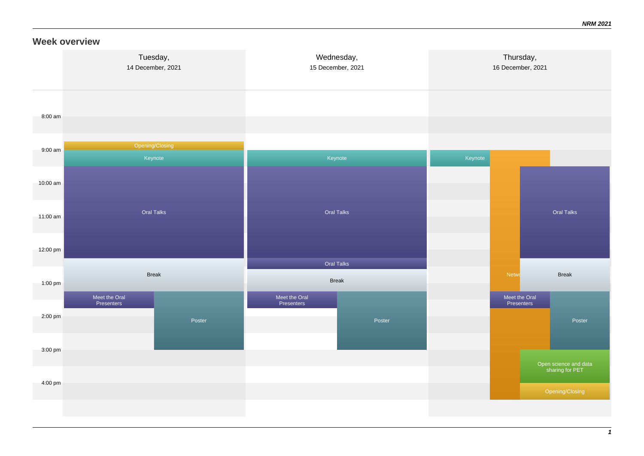**Week overview**

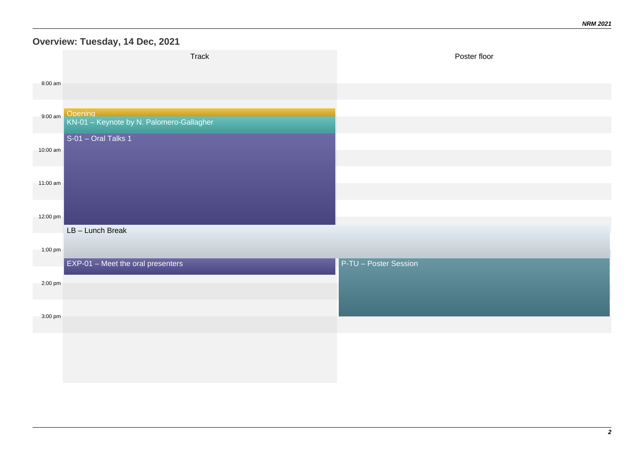## **Overview: Tuesday, 14 Dec, 2021**

|          | Track                                               | Poster floor          |
|----------|-----------------------------------------------------|-----------------------|
| 8:00 am  |                                                     |                       |
|          |                                                     |                       |
| 9:00 am  | Opening<br>KN-01 - Keynote by N. Palomero-Gallagher |                       |
|          | S-01 - Oral Talks 1                                 |                       |
| 10:00 am |                                                     |                       |
| 11:00 am |                                                     |                       |
|          |                                                     |                       |
| 12:00 pm |                                                     |                       |
|          | $LB -$ Lunch Break                                  |                       |
| 1:00 pm  |                                                     |                       |
|          | EXP-01 - Meet the oral presenters                   | P-TU - Poster Session |
| 2:00 pm  |                                                     |                       |
| 3:00 pm  |                                                     |                       |
|          |                                                     |                       |
|          |                                                     |                       |
|          |                                                     |                       |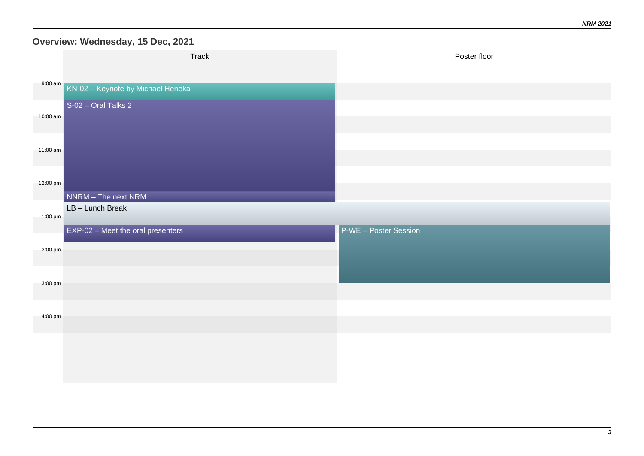## **Overview: Wednesday, 15 Dec, 2021**

|          | Track                             | Poster floor          |
|----------|-----------------------------------|-----------------------|
| 9:00 am  |                                   |                       |
|          | KN-02 - Keynote by Michael Heneka |                       |
| 10:00 am | S-02 - Oral Talks 2               |                       |
|          |                                   |                       |
| 11:00 am |                                   |                       |
|          |                                   |                       |
| 12:00 pm |                                   |                       |
|          | NNRM - The next NRM               |                       |
| 1:00 pm  | $LB - Lunch$ Break                |                       |
|          | EXP-02 - Meet the oral presenters | P-WE - Poster Session |
|          |                                   |                       |
| 2:00 pm  |                                   |                       |
|          |                                   |                       |
| 3:00 pm  |                                   |                       |
|          |                                   |                       |
| 4:00 pm  |                                   |                       |
|          |                                   |                       |
|          |                                   |                       |
|          |                                   |                       |